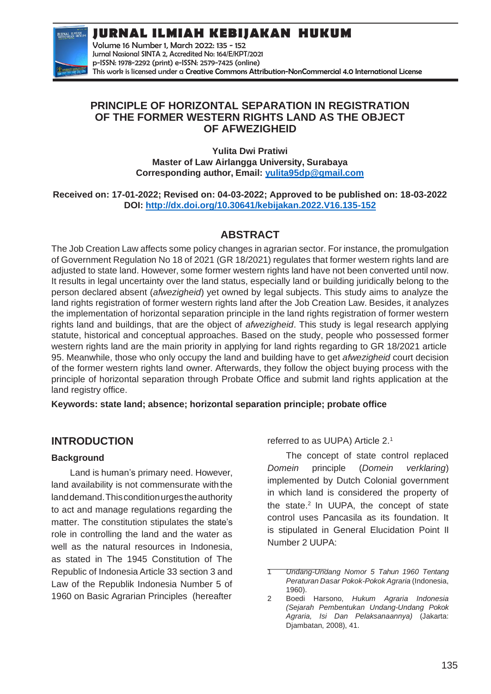**JURNAL ILMIAH KEBIJAKAN HUKUM**



Volume 16 Number 1, March 2022: 135 - 152 Jurnal Nasional SINTA 2, Accredited No: 164/E/KPT/2021 p-ISSN: 1978-2292 (print) e-ISSN: 2579-7425 (online) This work is licensed under a [Creative Commons Attribution-NonCommercial 4.0 International License](https://creativecommons.org/licenses/by-nc/4.0/)

### **PRINCIPLE OF HORIZONTAL SEPARATION IN REGISTRATION OF THE FORMER WESTERN RIGHTS LAND AS THE OBJECT OF AFWEZIGHEID**

**Yulita Dwi Pratiwi Master of Law Airlangga University, Surabaya Corresponding author, Email: [yulita95dp@gmail.com](mailto:yulita95dp@gmail.com)**

**Received on: 17-01-2022; Revised on: 04-03-2022; Approved to be published on: 18-03-2022 DOI:<http://dx.doi.org/10.30641/kebijakan.2022.V16.135-152>**

# **ABSTRACT**

The Job Creation Law affects some policy changes in agrarian sector. For instance, the promulgation of Government Regulation No 18 of 2021 (GR 18/2021) regulates that former western rights land are adjusted to state land. However, some former western rights land have not been converted until now. It results in legal uncertainty over the land status, especially land or building juridically belong to the person declared absent (*afwezigheid*) yet owned by legal subjects. This study aims to analyze the land rights registration of former western rights land after the Job Creation Law. Besides, it analyzes the implementation of horizontal separation principle in the land rights registration of former western rights land and buildings, that are the object of *afwezigheid*. This study is legal research applying statute, historical and conceptual approaches. Based on the study, people who possessed former western rights land are the main priority in applying for land rights regarding to GR 18/2021 article 95. Meanwhile, those who only occupy the land and building have to get *afwezigheid* court decision of the former western rights land owner. Afterwards, they follow the object buying process with the principle of horizontal separation through Probate Office and submit land rights application at the land registry office.

**Keywords: state land; absence; horizontal separation principle; probate office**

## **INTRODUCTION**

#### **Background**

Land is human's primary need. However, land availability is not commensurate with the land demand. This condition urges the authority to act and manage regulations regarding the matter. The constitution stipulates the state's role in controlling the land and the water as well as the natural resources in Indonesia, as stated in The 1945 Constitution of The Republic of Indonesia Article 33 section 3 and Law of the Republik Indonesia Number 5 of 1960 on Basic Agrarian Principles (hereafter

referred to as UUPA) Article 2.<sup>1</sup>

The concept of state control replaced *Domein* principle (*Domein verklaring*) implemented by Dutch Colonial government in which land is considered the property of the state. $2$  In UUPA, the concept of state control uses Pancasila as its foundation. It is stipulated in General Elucidation Point II Number 2 UUPA:

<sup>1</sup> *Undang-Undang Nomor 5 Tahun 1960 Tentang Peraturan Dasar Pokok-Pokok Agraria* (Indonesia, 1960).

<sup>2</sup> Boedi Harsono, *Hukum Agraria Indonesia (Sejarah Pembentukan Undang-Undang Pokok Agraria, Isi Dan Pelaksanaannya)* (Jakarta: Djambatan, 2008), 41.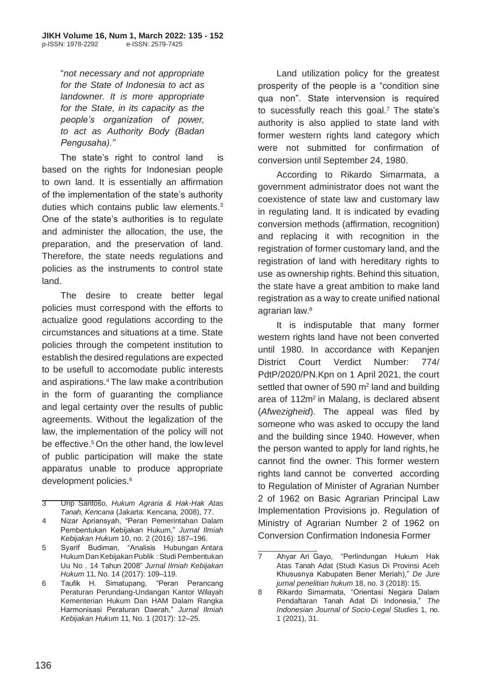"*not necessary and not appropriate for the State of Indonesia to act as landowner. It is more appropriate for the State, in its capacity as the people's organization of power, to act as Authority Body (Badan Pengusaha)."*

The state's right to control land is based on the rights for Indonesian people to own land. It is essentially an affirmation of the implementation of the state's authority duties which contains public law elements.<sup>3</sup> One of the state's authorities is to regulate and administer the allocation, the use, the preparation, and the preservation of land. Therefore, the state needs regulations and policies as the instruments to control state land.

The desire to create better legal policies must correspond with the efforts to actualize good regulations according to the circumstances and situations at a time. State policies through the competent institution to establish the desired regulations are expected to be usefull to accomodate public interests and aspirations.<sup>4</sup>The law make acontribution in the form of guaranting the compliance and legal certainty over the results of public agreements. Without the legalization of the law, the implementation of the policy will not be effective. <sup>5</sup>On the other hand, the low level of public participation will make the state apparatus unable to produce appropriate development policies.<sup>6</sup>

- 3 Urip Santoso, *Hukum Agraria & Hak-Hak Atas Tanah, Kencana* (Jakarta: Kencana, 2008), 77.
- 4 Nizar Apriansyah, "Peran Pemerintahan Dalam Pembentukan Kebijakan Hukum," *Jurnal Ilmiah Kebijakan Hukum* 10, no. 2 (2016): 187–196.
- 5 Syarif Budiman, "Analisis Hubungan Antara Hukum DanKebijakanPublik :StudiPembentukan Uu No . 14 Tahun 2008" *Jurnal Ilmiah Kebijakan Hukum* 11, No. 14 (2017): 109–119.
- 6 Taufik H. Simatupang, "Peran Perancang Peraturan Perundang-Undangan Kantor Wilayah Kementerian Hukum Dan HAM Dalam Rangka Harmonisasi Peraturan Daerah," *Jurnal Ilmiah Kebijakan Hukum* 11, No. 1 (2017): 12–25.

Land utilization policy for the greatest prosperity of the people is a "condition sine qua non". State intervension is required to sucessfully reach this goal.<sup>7</sup> The state's authority is also applied to state land with former western rights land category which were not submitted for confirmation of conversion until September 24, 1980.

According to Rikardo Simarmata, a government administrator does not want the coexistence of state law and customary law in regulating land. It is indicated by evading conversion methods (affirmation, recognition) and replacing it with recognition in the registration of former customary land, and the registration of land with hereditary rights to use as ownership rights. Behind this situation, the state have a great ambition to make land registration as a way to create unified national agrarian law.<sup>8</sup>

It is indisputable that many former western rights land have not been converted until 1980. In accordance with Kepanjen District Court Verdict Number: 774/ PdtP/2020/PN.Kpn on 1 April 2021, the court settled that owner of 590  $m<sup>2</sup>$  land and building area of 112m<sup>2</sup> in Malang, is declared absent (*Afwezigheid*). The appeal was filed by someone who was asked to occupy the land and the building since 1940. However, when the person wanted to apply for land rights, he cannot find the owner. This former western rights land cannot be converted according to Regulation of Minister of Agrarian Number 2 of 1962 on Basic Agrarian Principal Law Implementation Provisions jo. Regulation of Ministry of Agrarian Number 2 of 1962 on Conversion Confirmation Indonesia Former

<sup>7</sup> Ahyar Ari Gayo, "Perlindungan Hukum Hak Atas Tanah Adat (Studi Kasus Di Provinsi Aceh Khususnya Kabupaten Bener Meriah)," *De Jure jurnal penelitian hukum* 18, no. 3 (2018): 15.

<sup>8</sup> Rikardo Simarmata, "Orientasi Negara Dalam Pendaftaran Tanah Adat Di Indonesia," *The Indonesian Journal of Socio-Legal Studies* 1, no. 1 (2021), 31.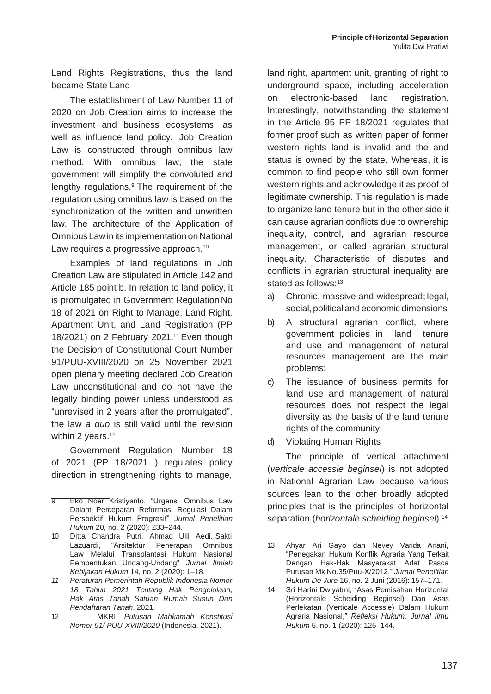Land Rights Registrations, thus the land became State Land

The establishment of Law Number 11 of 2020 on Job Creation aims to increase the investment and business ecosystems, as well as influence land policy. Job Creation Law is constructed through omnibus law method. With omnibus law, the state government will simplify the convoluted and lengthy regulations.<sup>9</sup> The requirement of the regulation using omnibus law is based on the synchronization of the written and unwritten law. The architecture of the Application of Omnibus Law in its implementation on National Law requires a progressive approach.<sup>10</sup>

Examples of land regulations in Job Creation Law are stipulated in Article 142 and Article 185 point b. In relation to land policy, it is promulgated in Government Regulation No 18 of 2021 on Right to Manage, Land Right, Apartment Unit, and Land Registration (PP 18/2021) on 2 February 2021.<sup>11</sup> Even though the Decision of Constitutional Court Number 91/PUU-XVIII/2020 on 25 November 2021 open plenary meeting declared Job Creation Law unconstitutional and do not have the legally binding power unless understood as "unrevised in 2 years after the promulgated", the law *a quo* is still valid until the revision within 2 years.<sup>12</sup>

Government Regulation Number 18 of 2021 (PP 18/2021 ) regulates policy direction in strengthening rights to manage,

land right, apartment unit, granting of right to underground space, including acceleration on electronic-based land registration. Interestingly, notwithstanding the statement in the Article 95 PP 18/2021 regulates that former proof such as written paper of former western rights land is invalid and the and status is owned by the state. Whereas, it is common to find people who still own former western rights and acknowledge it as proof of legitimate ownership. This regulation is made to organize land tenure but in the other side it can cause agrarian conflicts due to ownership inequality, control, and agrarian resource management, or called agrarian structural inequality. Characteristic of disputes and conflicts in agrarian structural inequality are stated as follows:<sup>13</sup>

- a) Chronic, massive and widespread; legal, social, political and economic dimensions
- b) A structural agrarian conflict, where government policies in land tenure and use and management of natural resources management are the main problems;
- c) The issuance of business permits for land use and management of natural resources does not respect the legal diversity as the basis of the land tenure rights of the community;
- d) Violating Human Rights

The principle of vertical attachment (*verticale accessie beginsel*) is not adopted in National Agrarian Law because various sources lean to the other broadly adopted principles that is the principles of horizontal separation (*horizontale scheiding beginsel*).<sup>14</sup>

<sup>9</sup> Eko Noer Kristiyanto, "Urgensi Omnibus Law Dalam Percepatan Reformasi Regulasi Dalam Perspektif Hukum Progresif" *Jurnal Penelitian Hukum* 20, no. 2 (2020): 233–244.

<sup>10</sup> Ditta Chandra Putri, Ahmad Ulil Aedi, Sakti Lazuardi, "Arsitektur Penerapan Omnibus Law Melalui Transplantasi Hukum Nasional Pembentukan Undang-Undang" *Jurnal Ilmiah Kebijakan Hukum* 14, no. 2 (2020): 1–18.

*<sup>11</sup> Peraturan Pemerintah Republik Indonesia Nomor 18 Tahun 2021 Tentang Hak Pengelolaan, Hak Atas Tanah Satuan Rumah Susun Dan Pendaftaran Tanah*, 2021.

<sup>12</sup> MKRI, *Putusan Mahkamah Konstitusi Nomor 91/ PUU-XVIII/2020* (Indonesia, 2021).

<sup>13</sup> Ahyar Ari Gayo dan Nevey Varida Ariani, "Penegakan Hukum Konflik Agraria Yang Terkait Dengan Hak-Hak Masyarakat Adat Pasca Putusan Mk No.35/Puu-X/2012," *Jurnal Penelitian Hukum De Jure* 16, no. 2 Juni (2016): 157–171.

<sup>14</sup> Sri Harini Dwiyatmi, "Asas Pemisahan Horizontal (Horizontale Scheiding Beginsel) Dan Asas Perlekatan (Verticale Accessie) Dalam Hukum Agraria Nasional," *Refleksi Hukum: Jurnal Ilmu Hukum* 5, no. 1 (2020): 125–144.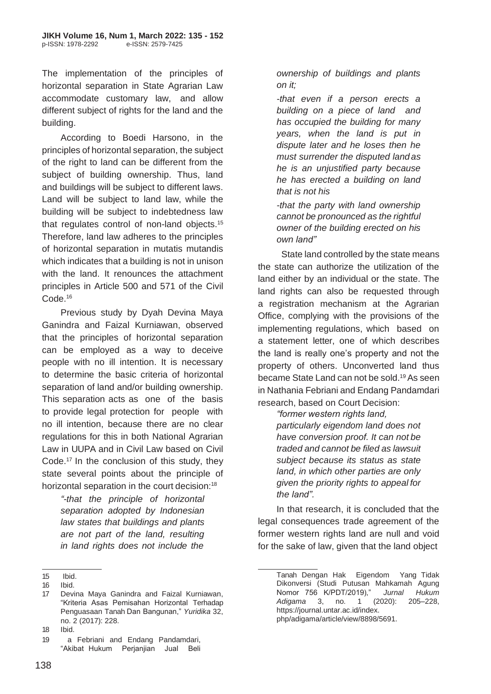The implementation of the principles of horizontal separation in State Agrarian Law accommodate customary law, and allow different subject of rights for the land and the building.

According to Boedi Harsono, in the principles of horizontal separation, the subject of the right to land can be different from the subject of building ownership. Thus, land and buildings will be subject to different laws. Land will be subject to land law, while the building will be subject to indebtedness law that regulates control of non-land objects.<sup>15</sup> Therefore, land law adheres to the principles of horizontal separation in mutatis mutandis which indicates that a building is not in unison with the land. It renounces the attachment principles in Article 500 and 571 of the Civil Code.<sup>16</sup>

Previous study by Dyah Devina Maya Ganindra and Faizal Kurniawan, observed that the principles of horizontal separation can be employed as a way to deceive people with no ill intention. It is necessary to determine the basic criteria of horizontal separation of land and/or building ownership. This separation acts as one of the basis to provide legal protection for people with no ill intention, because there are no clear regulations for this in both National Agrarian Law in UUPA and in Civil Law based on Civil Code.<sup>17</sup> In the conclusion of this study, they state several points about the principle of horizontal separation in the court decision:<sup>18</sup>

> *"-that the principle of horizontal separation adopted by Indonesian law states that buildings and plants are not part of the land, resulting in land rights does not include the*

*ownership of buildings and plants on it;*

*-that even if a person erects a building on a piece of land and has occupied the building for many years, when the land is put in dispute later and he loses then he must surrender the disputed land as he is an unjustified party because he has erected a building on land that is not his*

*-that the party with land ownership cannot be pronounced as the rightful owner of the building erected on his own land"*

State land controlled by the state means the state can authorize the utilization of the land either by an individual or the state. The land rights can also be requested through a registration mechanism at the Agrarian Office, complying with the provisions of the implementing regulations, which based on a statement letter, one of which describes the land is really one's property and not the property of others. Unconverted land thus became State Land can not be sold.<sup>19</sup> As seen in Nathania Febriani and Endang Pandamdari research, based on Court Decision:

*"former western rights land,*

*particularly eigendom land does not have conversion proof. It can not be traded and cannot be filed as lawsuit subject because its status as state land, in which other parties are only given the priority rights to appeal for the land".*

In that research, it is concluded that the legal consequences trade agreement of the former western rights land are null and void for the sake of law, given that the land object

<sup>15</sup> Ibid.

<sup>16</sup> Ibid.

<sup>17</sup> Devina Maya Ganindra and Faizal Kurniawan, "Kriteria Asas Pemisahan Horizontal Terhadap Penguasaan Tanah Dan Bangunan," *Yuridika* 32, no. 2 (2017): 228.

<sup>18</sup> Ibid.

<sup>19</sup> a Febriani and Endang Pandamdari, "Akibat Hukum Perjanjian Jual Beli

Tanah Dengan Hak Eigendom Yang Tidak Dikonversi (Studi Putusan Mahkamah Agung Nomor 756 K/PDT/2019)," *Jurnal Hukum Adigama* 3, no. 1 (2020): 205–228, https://journal.untar.ac.id/index. php/adigama/article/view/8898/5691.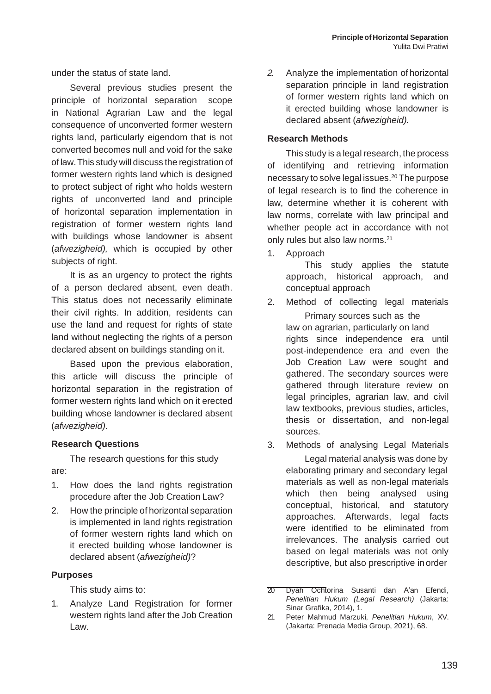under the status of state land.

Several previous studies present the principle of horizontal separation scope in National Agrarian Law and the legal consequence of unconverted former western rights land, particularly eigendom that is not converted becomes null and void for the sake of law.This study will discuss the registration of former western rights land which is designed to protect subject of right who holds western rights of unconverted land and principle of horizontal separation implementation in registration of former western rights land with buildings whose landowner is absent (*afwezigheid),* which is occupied by other subjects of right.

It is as an urgency to protect the rights of a person declared absent, even death. This status does not necessarily eliminate their civil rights. In addition, residents can use the land and request for rights of state land without neglecting the rights of a person declared absent on buildings standing on it.

Based upon the previous elaboration, this article will discuss the principle of horizontal separation in the registration of former western rights land which on it erected building whose landowner is declared absent (*afwezigheid)*.

#### **Research Questions**

The research questions for this study are:

- 1. How does the land rights registration procedure after the Job Creation Law?
- 2. How the principle of horizontal separation is implemented in land rights registration of former western rights land which on it erected building whose landowner is declared absent (*afwezigheid)*?

#### **Purposes**

This study aims to:

1. Analyze Land Registration for former western rights land after the Job Creation Law.

*2.* Analyze the implementation of horizontal separation principle in land registration of former western rights land which on it erected building whose landowner is declared absent (*afwezigheid).*

#### **Research Methods**

This study is a legal research, the process of identifying and retrieving information necessary to solve legal issues.<sup>20</sup> The purpose of legal research is to find the coherence in law, determine whether it is coherent with law norms, correlate with law principal and whether people act in accordance with not only rules but also law norms.<sup>21</sup>

1. Approach

This study applies the statute approach, historical approach, and conceptual approach

- 2. Method of collecting legal materials Primary sources such as the law on agrarian, particularly on land rights since independence era until post-independence era and even the Job Creation Law were sought and gathered. The secondary sources were gathered through literature review on legal principles, agrarian law, and civil law textbooks, previous studies, articles, thesis or dissertation, and non-legal sources.
- 3. Methods of analysing Legal Materials

Legal material analysis was done by elaborating primary and secondary legal materials as well as non-legal materials which then being analysed using conceptual, historical, and statutory approaches. Afterwards, legal facts were identified to be eliminated from irrelevances. The analysis carried out based on legal materials was not only descriptive, but also prescriptive inorder

- 20 Dyah Ochtorina Susanti dan A'an Efendi, *Penelitian Hukum (Legal Research)* (Jakarta: Sinar Grafika, 2014), 1.
- 21 Peter Mahmud Marzuki, *Penelitian Hukum*, XV. (Jakarta: Prenada Media Group, 2021), 68.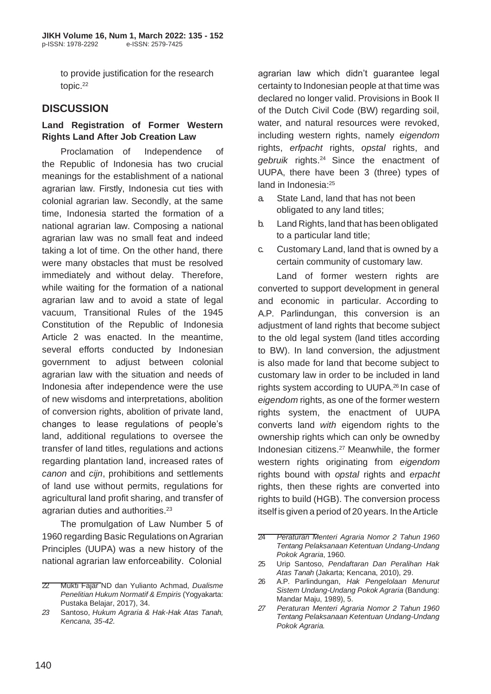to provide justification for the research topic.<sup>22</sup>

## **DISCUSSION**

#### **Land Registration of Former Western Rights Land After Job Creation Law**

Proclamation of Independence of the Republic of Indonesia has two crucial meanings for the establishment of a national agrarian law. Firstly, Indonesia cut ties with colonial agrarian law. Secondly, at the same time, Indonesia started the formation of a national agrarian law. Composing a national agrarian law was no small feat and indeed taking a lot of time. On the other hand, there were many obstacles that must be resolved immediately and without delay. Therefore, while waiting for the formation of a national agrarian law and to avoid a state of legal vacuum, Transitional Rules of the 1945 Constitution of the Republic of Indonesia Article 2 was enacted. In the meantime, several efforts conducted by Indonesian government to adjust between colonial agrarian law with the situation and needs of Indonesia after independence were the use of new wisdoms and interpretations, abolition of conversion rights, abolition of private land, changes to lease regulations of people's land, additional regulations to oversee the transfer of land titles, regulations and actions regarding plantation land, increased rates of *canon* and *cijn*, prohibitions and settlements of land use without permits, regulations for agricultural land profit sharing, and transfer of agrarian duties and authorities.<sup>23</sup>

The promulgation of Law Number 5 of 1960 regarding Basic Regulations on Agrarian Principles (UUPA) was a new history of the national agrarian law enforceability. Colonial

agrarian law which didn't guarantee legal certainty to Indonesian people at that time was declared no longer valid. Provisions in Book II of the Dutch Civil Code (BW) regarding soil, water, and natural resources were revoked, including western rights, namely *eigendom*  rights, *erfpacht* rights, *opstal* rights, and *gebruik* rights.<sup>24</sup>Since the enactment of UUPA, there have been 3 (three) types of land in Indonesia:<sup>25</sup>

- a. State Land, land that has not been obligated to any land titles;
- b. Land Rights, land that has been obligated to a particular land title;
- c. Customary Land, land that is owned by a certain community of customary law.

Land of former western rights are converted to support development in general and economic in particular. According to A.P. Parlindungan, this conversion is an adjustment of land rights that become subject to the old legal system (land titles according to BW). In land conversion, the adjustment is also made for land that become subject to customary law in order to be included in land rights system according to UUPA.<sup>26</sup> In case of *eigendom* rights, as one of the former western rights system, the enactment of UUPA converts land *with* eigendom rights to the ownership rights which can only be ownedby Indonesian citizens.<sup>27</sup> Meanwhile, the former western rights originating from *eigendom*  rights bound with *opstal* rights and *erpacht*  rights, then these rights are converted into rights to build (HGB). The conversion process itself is given a period of 20 years. In the Article

<sup>22</sup> Mukti Fajar ND dan Yulianto Achmad, *Dualisme Penelitian Hukum Normatif & Empiris* (Yogyakarta: Pustaka Belajar, 2017), 34.

*<sup>23</sup>* Santoso, *Hukum Agraria & Hak-Hak Atas Tanah, Kencana, 35-42.*

<sup>24</sup> *Peraturan Menteri Agraria Nomor 2 Tahun 1960 Tentang Pelaksanaan Ketentuan Undang-Undang Pokok Agraria*, 1960.

<sup>25</sup> Urip Santoso, *Pendaftaran Dan Peralihan Hak Atas Tanah* (Jakarta; Kencana, 2010), 29.

<sup>26</sup> A.P. Parlindungan, *Hak Pengelolaan Menurut Sistem Undang-Undang Pokok Agraria* (Bandung: Mandar Maju, 1989), 5.

*<sup>27</sup> Peraturan Menteri Agraria Nomor 2 Tahun 1960 Tentang Pelaksanaan Ketentuan Undang-Undang Pokok Agraria.*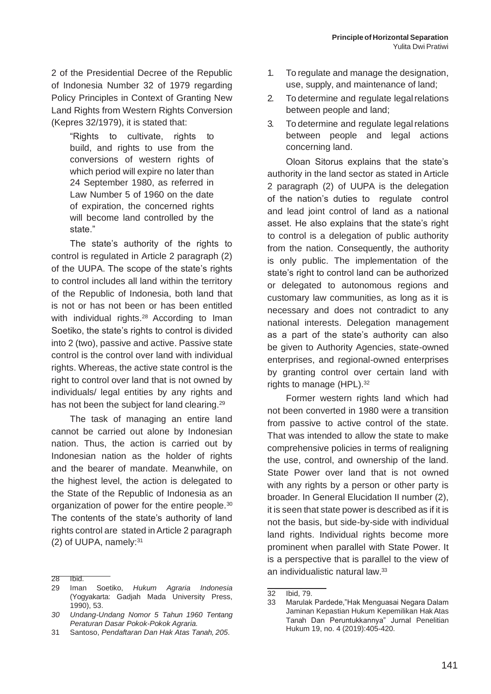2 of the Presidential Decree of the Republic of Indonesia Number 32 of 1979 regarding Policy Principles in Context of Granting New Land Rights from Western Rights Conversion (Kepres 32/1979), it is stated that:

"Rights to cultivate, rights to build, and rights to use from the conversions of western rights of which period will expire no later than 24 September 1980, as referred in Law Number 5 of 1960 on the date of expiration, the concerned rights will become land controlled by the state."

The state's authority of the rights to control is regulated in Article 2 paragraph (2) of the UUPA. The scope of the state's rights to control includes all land within the territory of the Republic of Indonesia, both land that is not or has not been or has been entitled with individual rights.<sup>28</sup> According to Iman Soetiko, the state's rights to control is divided into 2 (two), passive and active. Passive state control is the control over land with individual rights. Whereas, the active state control is the right to control over land that is not owned by individuals/ legal entities by any rights and has not been the subject for land clearing.<sup>29</sup>

The task of managing an entire land cannot be carried out alone by Indonesian nation. Thus, the action is carried out by Indonesian nation as the holder of rights and the bearer of mandate. Meanwhile, on the highest level, the action is delegated to the State of the Republic of Indonesia as an organization of power for the entire people.<sup>30</sup> The contents of the state's authority of land rights control are stated inArticle 2 paragraph (2) of UUPA, namely:<sup>31</sup>

- 1. To regulate and manage the designation, use, supply, and maintenance of land;
- 2. To determine and regulate legal relations between people and land;
- 3. To determine and regulate legal relations between people and legal actions concerning land.

Oloan Sitorus explains that the state's authority in the land sector as stated in Article 2 paragraph (2) of UUPA is the delegation of the nation's duties to regulate control and lead joint control of land as a national asset. He also explains that the state's right to control is a delegation of public authority from the nation. Consequently, the authority is only public. The implementation of the state's right to control land can be authorized or delegated to autonomous regions and customary law communities, as long as it is necessary and does not contradict to any national interests. Delegation management as a part of the state's authority can also be given to Authority Agencies, state-owned enterprises, and regional-owned enterprises by granting control over certain land with rights to manage (HPL).<sup>32</sup>

Former western rights land which had not been converted in 1980 were a transition from passive to active control of the state. That was intended to allow the state to make comprehensive policies in terms of realigning the use, control, and ownership of the land. State Power over land that is not owned with any rights by a person or other party is broader. In General Elucidation II number (2), it is seen that state power is described as if it is not the basis, but side-by-side with individual land rights. Individual rights become more prominent when parallel with State Power. It is a perspective that is parallel to the view of an individualistic natural law.<sup>33</sup>

 $28$  Ibid.

<sup>29</sup> Iman Soetiko, *Hukum Agraria Indonesia*  (Yogyakarta: Gadjah Mada University Press, 1990), 53.

*<sup>30</sup> Undang-Undang Nomor 5 Tahun 1960 Tentang Peraturan Dasar Pokok-Pokok Agraria.*

<sup>31</sup> Santoso, *Pendaftaran Dan Hak Atas Tanah, 205*.

<sup>32</sup> Ibid, 79.

<sup>33</sup> Marulak Pardede,"Hak Menguasai Negara Dalam Jaminan Kepastian Hukum Kepemilikan Hak Atas Tanah Dan Peruntukkannya" Jurnal Penelitian Hukum 19, no. 4 (2019):405-420.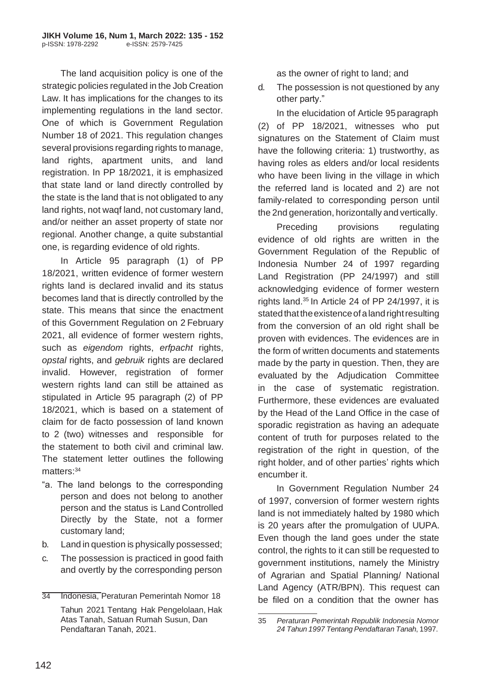The land acquisition policy is one of the strategic policies regulated in the Job Creation Law. It has implications for the changes to its implementing regulations in the land sector. One of which is Government Regulation Number 18 of 2021. This regulation changes several provisions regarding rights to manage, land rights, apartment units, and land registration. In PP 18/2021, it is emphasized that state land or land directly controlled by the state is the land that is not obligated to any land rights, not waqf land, not customary land, and/or neither an asset property of state nor regional. Another change, a quite substantial one, is regarding evidence of old rights.

In Article 95 paragraph (1) of PP 18/2021, written evidence of former western rights land is declared invalid and its status becomes land that is directly controlled by the state. This means that since the enactment of this Government Regulation on 2 February 2021, all evidence of former western rights, such as *eigendom* rights, *erfpacht* rights, *opstal* rights, and *gebruik* rights are declared invalid. However, registration of former western rights land can still be attained as stipulated in Article 95 paragraph (2) of PP 18/2021, which is based on a statement of claim for de facto possession of land known to 2 (two) witnesses and responsible for the statement to both civil and criminal law. The statement letter outlines the following matters: 34

- "a. The land belongs to the corresponding person and does not belong to another person and the status is Land Controlled Directly by the State, not a former customary land;
- b. Land in question is physically possessed;
- c. The possession is practiced in good faith and overtly by the corresponding person

as the owner of right to land; and

d. The possession is not questioned by any other party."

In the elucidation of Article 95 paragraph (2) of PP 18/2021, witnesses who put signatures on the Statement of Claim must have the following criteria: 1) trustworthy, as having roles as elders and/or local residents who have been living in the village in which the referred land is located and 2) are not family-related to corresponding person until the 2nd generation, horizontally and vertically.

Preceding provisions regulating evidence of old rights are written in the Government Regulation of the Republic of Indonesia Number 24 of 1997 regarding Land Registration (PP 24/1997) and still acknowledging evidence of former western rights land. $35$  In Article 24 of PP 24/1997, it is stated that the existence of a land right resulting from the conversion of an old right shall be proven with evidences. The evidences are in the form of written documents and statements made by the party in question. Then, they are evaluated by the Adjudication Committee in the case of systematic registration. Furthermore, these evidences are evaluated by the Head of the Land Office in the case of sporadic registration as having an adequate content of truth for purposes related to the registration of the right in question, of the right holder, and of other parties' rights which encumber it.

In Government Regulation Number 24 of 1997, conversion of former western rights land is not immediately halted by 1980 which is 20 years after the promulgation of UUPA. Even though the land goes under the state control, the rights to it can still be requested to government institutions, namely the Ministry of Agrarian and Spatial Planning/ National Land Agency (ATR/BPN). This request can be filed on a condition that the owner has

<sup>34</sup> Indonesia, Peraturan Pemerintah Nomor 18 Tahun 2021 Tentang Hak Pengelolaan, Hak Atas Tanah, Satuan Rumah Susun, Dan Pendaftaran Tanah, 2021.

<sup>35</sup> *Peraturan Pemerintah Republik Indonesia Nomor 24 Tahun 1997 Tentang Pendaftaran Tanah*, 1997.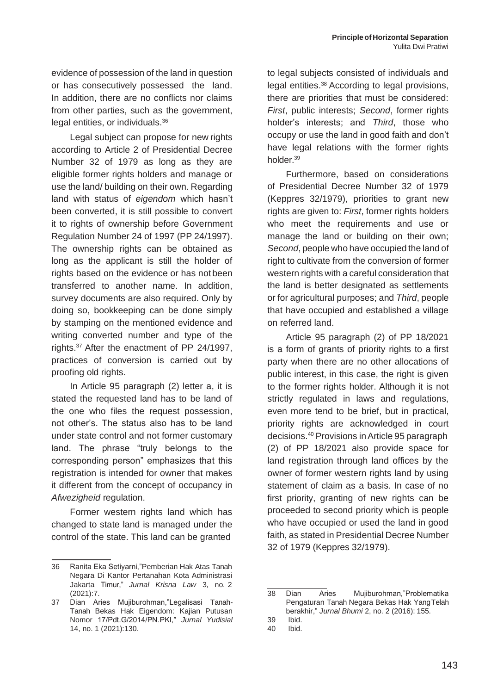evidence of possession of the land in question or has consecutively possessed the land. In addition, there are no conflicts nor claims from other parties, such as the government, legal entities, or individuals.<sup>36</sup>

Legal subject can propose for new rights according to Article 2 of Presidential Decree Number 32 of 1979 as long as they are eligible former rights holders and manage or use the land/ building on their own. Regarding land with status of *eigendom* which hasn't been converted, it is still possible to convert it to rights of ownership before Government Regulation Number 24 of 1997 (PP 24/1997). The ownership rights can be obtained as long as the applicant is still the holder of rights based on the evidence or has not been transferred to another name. In addition, survey documents are also required. Only by doing so, bookkeeping can be done simply by stamping on the mentioned evidence and writing converted number and type of the rights.<sup>37</sup>After the enactment of PP 24/1997, practices of conversion is carried out by proofing old rights.

In Article 95 paragraph (2) letter a, it is stated the requested land has to be land of the one who files the request possession, not other's. The status also has to be land under state control and not former customary land. The phrase "truly belongs to the corresponding person" emphasizes that this registration is intended for owner that makes it different from the concept of occupancy in *Afwezigheid* regulation.

Former western rights land which has changed to state land is managed under the control of the state. This land can be granted

to legal subjects consisted of individuals and legal entities.<sup>38</sup> According to legal provisions, there are priorities that must be considered: *First*, public interests; *Second*, former rights holder's interests; and *Third*, those who occupy or use the land in good faith and don't have legal relations with the former rights holder.<sup>39</sup>

Furthermore, based on considerations of Presidential Decree Number 32 of 1979 (Keppres 32/1979), priorities to grant new rights are given to: *First*, former rights holders who meet the requirements and use or manage the land or building on their own; *Second*, people who have occupied the land of right to cultivate from the conversion of former western rights with a careful consideration that the land is better designated as settlements or for agricultural purposes; and *Third*, people that have occupied and established a village on referred land.

Article 95 paragraph (2) of PP 18/2021 is a form of grants of priority rights to a first party when there are no other allocations of public interest, in this case, the right is given to the former rights holder. Although it is not strictly regulated in laws and regulations, even more tend to be brief, but in practical, priority rights are acknowledged in court decisions.<sup>40</sup> Provisions inArticle 95 paragraph (2) of PP 18/2021 also provide space for land registration through land offices by the owner of former western rights land by using statement of claim as a basis. In case of no first priority, granting of new rights can be proceeded to second priority which is people who have occupied or used the land in good faith, as stated in Presidential Decree Number 32 of 1979 (Keppres 32/1979).

<sup>36</sup> Ranita Eka Setiyarni,"Pemberian Hak Atas Tanah Negara Di Kantor Pertanahan Kota Administrasi Jakarta Timur," *Jurnal Krisna Law* 3, no. 2 (2021):7.

<sup>37</sup> Dian Aries Mujiburohman,"Legalisasi Tanah-Tanah Bekas Hak Eigendom: Kajian Putusan Nomor 17/Pdt.G/2014/PN.PKI," *Jurnal Yudisial*  14, no. 1 (2021):130.

<sup>38</sup> Dian Aries Mujiburohman,"Problematika Pengaturan Tanah Negara Bekas Hak YangTelah berakhir," *Jurnal Bhumi* 2, no. 2 (2016): 155.

<sup>39</sup> Ibid.

<sup>40</sup> Ibid.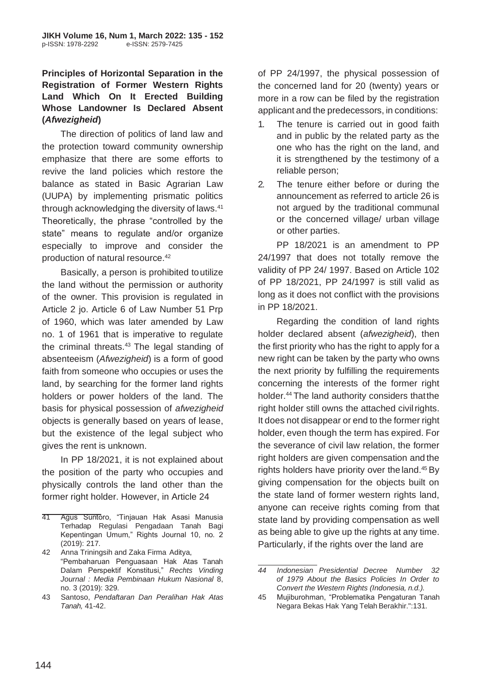#### **Principles of Horizontal Separation in the Registration of Former Western Rights Land Which On It Erected Building Whose Landowner Is Declared Absent (***Afwezigheid***)**

The direction of politics of land law and the protection toward community ownership emphasize that there are some efforts to revive the land policies which restore the balance as stated in Basic Agrarian Law (UUPA) by implementing prismatic politics through acknowledging the diversity of laws.<sup>41</sup> Theoretically, the phrase "controlled by the state" means to regulate and/or organize especially to improve and consider the production of natural resource.<sup>42</sup>

Basically, a person is prohibited toutilize the land without the permission or authority of the owner. This provision is regulated in Article 2 jo. Article 6 of Law Number 51 Prp of 1960, which was later amended by Law no. 1 of 1961 that is imperative to regulate the criminal threats.<sup>43</sup> The legal standing of absenteeism (*Afwezigheid*) is a form of good faith from someone who occupies or uses the land, by searching for the former land rights holders or power holders of the land. The basis for physical possession of *afwezigheid*  objects is generally based on years of lease, but the existence of the legal subject who gives the rent is unknown.

In PP 18/2021, it is not explained about the position of the party who occupies and physically controls the land other than the former right holder. However, in Article 24

of PP 24/1997, the physical possession of the concerned land for 20 (twenty) years or more in a row can be filed by the registration applicant and the predecessors, in conditions:

- 1. The tenure is carried out in good faith and in public by the related party as the one who has the right on the land, and it is strengthened by the testimony of a reliable person;
- 2. The tenure either before or during the announcement as referred to article 26 is not argued by the traditional communal or the concerned village/ urban village or other parties.

PP 18/2021 is an amendment to PP 24/1997 that does not totally remove the validity of PP 24/ 1997. Based on Article 102 of PP 18/2021, PP 24/1997 is still valid as long as it does not conflict with the provisions in PP 18/2021.

Regarding the condition of land rights holder declared absent (*afwezigheid*), then the first priority who has the right to apply for a new right can be taken by the party who owns the next priority by fulfilling the requirements concerning the interests of the former right holder.<sup>44</sup> The land authority considers that the right holder still owns the attached civil rights. It does not disappear or end to the former right holder, even though the term has expired. For the severance of civil law relation, the former right holders are given compensation and the rights holders have priority over the land.<sup>45</sup> By giving compensation for the objects built on the state land of former western rights land, anyone can receive rights coming from that state land by providing compensation as well as being able to give up the rights at any time. Particularly, if the rights over the land are

<sup>41</sup> Agus Suntoro, "Tinjauan Hak Asasi Manusia Terhadap Regulasi Pengadaan Tanah Bagi Kepentingan Umum," Rights Journal 10, no. 2 (2019): 217.

<sup>42</sup> Anna Triningsih and Zaka Firma Aditya, "Pembaharuan Penguasaan Hak Atas Tanah Dalam Perspektif Konstitusi," *Rechts Vinding Journal : Media Pembinaan Hukum Nasional* 8, no. 3 (2019): 329.

<sup>43</sup> Santoso, *Pendaftaran Dan Peralihan Hak Atas Tanah,* 41-42.

*<sup>44</sup> Indonesian Presidential Decree Number 32 of 1979 About the Basics Policies In Order to Convert the Western Rights (Indonesia, n.d.).*

<sup>45</sup> Mujiburohman, "Problematika Pengaturan Tanah Negara Bekas Hak Yang Telah Berakhir.":131.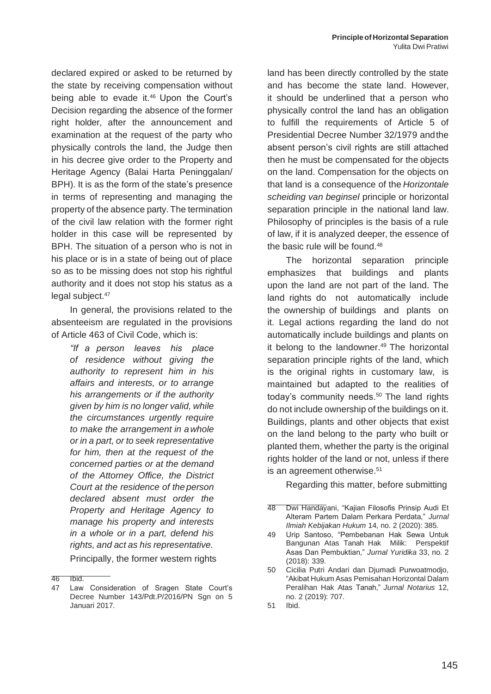declared expired or asked to be returned by the state by receiving compensation without being able to evade it.<sup>46</sup> Upon the Court's Decision regarding the absence of the former right holder, after the announcement and examination at the request of the party who physically controls the land, the Judge then in his decree give order to the Property and Heritage Agency (Balai Harta Peninggalan/ BPH). It is as the form of the state's presence in terms of representing and managing the property of the absence party. The termination of the civil law relation with the former right holder in this case will be represented by BPH. The situation of a person who is not in his place or is in a state of being out of place so as to be missing does not stop his rightful authority and it does not stop his status as a legal subject.<sup>47</sup>

In general, the provisions related to the absenteeism are regulated in the provisions of Article 463 of Civil Code, which is:

> *"If a person leaves his place of residence without giving the authority to represent him in his affairs and interests, or to arrange his arrangements or if the authority given by him is no longer valid, while the circumstances urgently require to make the arrangement in awhole or in a part, or to seek representative for him, then at the request of the concerned parties or at the demand of the Attorney Office, the District Court at the residence of theperson declared absent must order the Property and Heritage Agency to manage his property and interests in a whole or in a part, defend his rights, and act as his representative.* Principally, the former western rights

46 Ibid.

land has been directly controlled by the state and has become the state land. However, it should be underlined that a person who physically control the land has an obligation to fulfill the requirements of Article 5 of Presidential Decree Number 32/1979 andthe absent person's civil rights are still attached then he must be compensated for the objects on the land. Compensation for the objects on that land is a consequence of the *Horizontale scheiding van beginsel* principle or horizontal separation principle in the national land law. Philosophy of principles is the basis of a rule of law, if it is analyzed deeper, the essence of the basic rule will be found.<sup>48</sup>

The horizontal separation principle emphasizes that buildings and plants upon the land are not part of the land. The land rights do not automatically include the ownership of buildings and plants on it. Legal actions regarding the land do not automatically include buildings and plants on it belong to the landowner. $49$  The horizontal separation principle rights of the land, which is the original rights in customary law, is maintained but adapted to the realities of today's community needs. $50$  The land rights do not include ownership of the buildings on it. Buildings, plants and other objects that exist on the land belong to the party who built or planted them, whether the party is the original rights holder of the land or not, unless if there is an agreement otherwise.<sup>51</sup>

Regarding this matter, before submitting

<sup>47</sup> Law Consideration of Sragen State Court's Decree Number 143/Pdt.P/2016/PN Sgn on 5 Januari 2017.

<sup>48</sup> Dwi Handayani, "Kajian Filosofis Prinsip Audi Et Alteram Partem Dalam Perkara Perdata," *Jurnal Ilmiah Kebijakan Hukum* 14, no. 2 (2020): 385.

<sup>49</sup> Urip Santoso, "Pembebanan Hak Sewa Untuk Bangunan Atas Tanah Hak Milik: Perspektif Asas Dan Pembuktian," *Jurnal Yuridika* 33, no. 2 (2018): 339.

<sup>50</sup> Cicilia Putri Andari dan Djumadi Purwoatmodjo, "Akibat Hukum Asas Pemisahan Horizontal Dalam Peralihan Hak Atas Tanah," *Jurnal Notarius* 12, no. 2 (2019): 707.

<sup>51</sup> Ibid.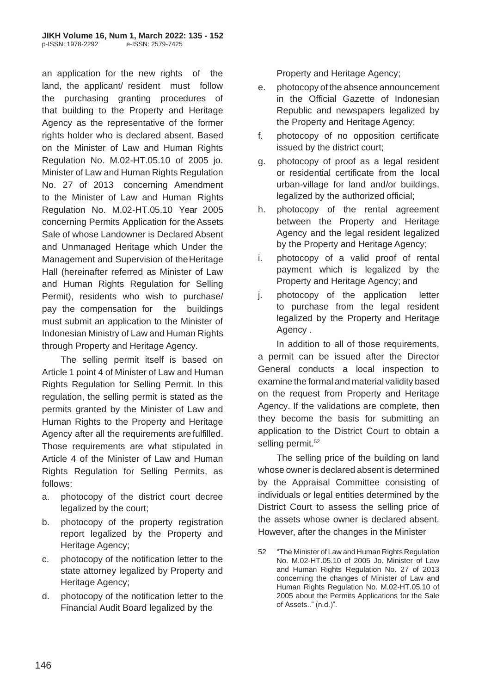an application for the new rights of the land, the applicant/ resident must follow the purchasing granting procedures of that building to the Property and Heritage Agency as the representative of the former rights holder who is declared absent. Based on the Minister of Law and Human Rights Regulation No. M.02-HT.05.10 of 2005 jo. Minister of Law and Human Rights Regulation No. 27 of 2013 concerning Amendment to the Minister of Law and Human Rights Regulation No. M.02-HT.05.10 Year 2005 concerning Permits Application for the Assets Sale of whose Landowner is Declared Absent and Unmanaged Heritage which Under the Management and Supervision of theHeritage Hall (hereinafter referred as Minister of Law and Human Rights Regulation for Selling Permit), residents who wish to purchase/ pay the compensation for the buildings must submit an application to the Minister of Indonesian Ministry of Law and Human Rights through Property and Heritage Agency.

The selling permit itself is based on Article 1 point 4 of Minister of Law and Human Rights Regulation for Selling Permit. In this regulation, the selling permit is stated as the permits granted by the Minister of Law and Human Rights to the Property and Heritage Agency after all the requirements are fulfilled. Those requirements are what stipulated in Article 4 of the Minister of Law and Human Rights Regulation for Selling Permits, as follows:

- a. photocopy of the district court decree legalized by the court;
- b. photocopy of the property registration report legalized by the Property and Heritage Agency;
- c. photocopy of the notification letter to the state attorney legalized by Property and Heritage Agency;
- d. photocopy of the notification letter to the Financial Audit Board legalized by the

Property and Heritage Agency;

- e. photocopy of the absence announcement in the Official Gazette of Indonesian Republic and newspapers legalized by the Property and Heritage Agency;
- f. photocopy of no opposition certificate issued by the district court;
- g. photocopy of proof as a legal resident or residential certificate from the local urban-village for land and/or buildings, legalized by the authorized official;
- h. photocopy of the rental agreement between the Property and Heritage Agency and the legal resident legalized by the Property and Heritage Agency;
- i. photocopy of a valid proof of rental payment which is legalized by the Property and Heritage Agency; and
- j. photocopy of the application letter to purchase from the legal resident legalized by the Property and Heritage Agency .

In addition to all of those requirements, a permit can be issued after the Director General conducts a local inspection to examine the formal and material validity based on the request from Property and Heritage Agency. If the validations are complete, then they become the basis for submitting an application to the District Court to obtain a selling permit.<sup>52</sup>

The selling price of the building on land whose owner is declared absent is determined by the Appraisal Committee consisting of individuals or legal entities determined by the District Court to assess the selling price of the assets whose owner is declared absent. However, after the changes in the Minister

<sup>52</sup> "The Minister of Law and Human Rights Regulation No. M.02-HT.05.10 of 2005 Jo. Minister of Law and Human Rights Regulation No. 27 of 2013 concerning the changes of Minister of Law and Human Rights Regulation No. M.02-HT.05.10 of 2005 about the Permits Applications for the Sale of Assets.." (n.d.)".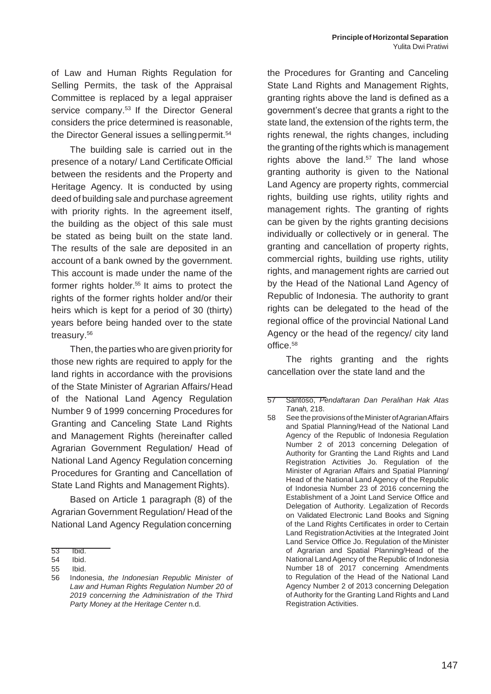of Law and Human Rights Regulation for Selling Permits, the task of the Appraisal Committee is replaced by a legal appraiser service company.<sup>53</sup> If the Director General considers the price determined is reasonable, the Director General issues a selling permit.<sup>54</sup>

The building sale is carried out in the presence of a notary/ Land Certificate Official between the residents and the Property and Heritage Agency. It is conducted by using deed of building sale and purchase agreement with priority rights. In the agreement itself, the building as the object of this sale must be stated as being built on the state land. The results of the sale are deposited in an account of a bank owned by the government. This account is made under the name of the former rights holder. $55$  It aims to protect the rights of the former rights holder and/or their heirs which is kept for a period of 30 (thirty) years before being handed over to the state treasury.<sup>56</sup>

Then, the parties who are given priority for those new rights are required to apply for the land rights in accordance with the provisions of the State Minister of Agrarian Affairs/Head of the National Land Agency Regulation Number 9 of 1999 concerning Procedures for Granting and Canceling State Land Rights and Management Rights (hereinafter called Agrarian Government Regulation/ Head of National Land Agency Regulation concerning Procedures for Granting and Cancellation of State Land Rights and Management Rights).

Based on Article 1 paragraph (8) of the Agrarian Government Regulation/ Head of the National Land Agency Regulation concerning

the Procedures for Granting and Canceling State Land Rights and Management Rights, granting rights above the land is defined as a government's decree that grants a right to the state land, the extension of the rights term, the rights renewal, the rights changes, including the granting of the rights which is management rights above the land. $57$  The land whose granting authority is given to the National Land Agency are property rights, commercial rights, building use rights, utility rights and management rights. The granting of rights can be given by the rights granting decisions individually or collectively or in general. The granting and cancellation of property rights, commercial rights, building use rights, utility rights, and management rights are carried out by the Head of the National Land Agency of Republic of Indonesia. The authority to grant rights can be delegated to the head of the regional office of the provincial National Land Agency or the head of the regency/ city land office.<sup>58</sup>

The rights granting and the rights cancellation over the state land and the

<sup>53</sup> Ibid.

<sup>54</sup> Ibid.

<sup>55</sup> Ibid.

<sup>56</sup> Indonesia, *the Indonesian Republic Minister of Law and Human Rights Regulation Number 20 of 2019 concerning the Administration of the Third Party Money at the Heritage Center* n.d.

<sup>57</sup> Santoso, *Pendaftaran Dan Peralihan Hak Atas Tanah,* 218.

<sup>58</sup> See the provisions of the Minister of Agrarian Affairs and Spatial Planning/Head of the National Land Agency of the Republic of Indonesia Regulation Number 2 of 2013 concerning Delegation of Authority for Granting the Land Rights and Land Registration Activities Jo. Regulation of the Minister of Agrarian Affairs and Spatial Planning/ Head of the National Land Agency of the Republic of Indonesia Number 23 of 2016 concerning the Establishment of a Joint Land Service Office and Delegation of Authority. Legalization of Records on Validated Electronic Land Books and Signing of the Land Rights Certificates in order to Certain Land RegistrationActivities at the Integrated Joint Land Service Office Jo. Regulation of the Minister of Agrarian and Spatial Planning/Head of the National Land Agency of the Republic of Indonesia Number 18 of 2017 concerning Amendments to Regulation of the Head of the National Land Agency Number 2 of 2013 concerning Delegation of Authority for the Granting Land Rights and Land Registration Activities.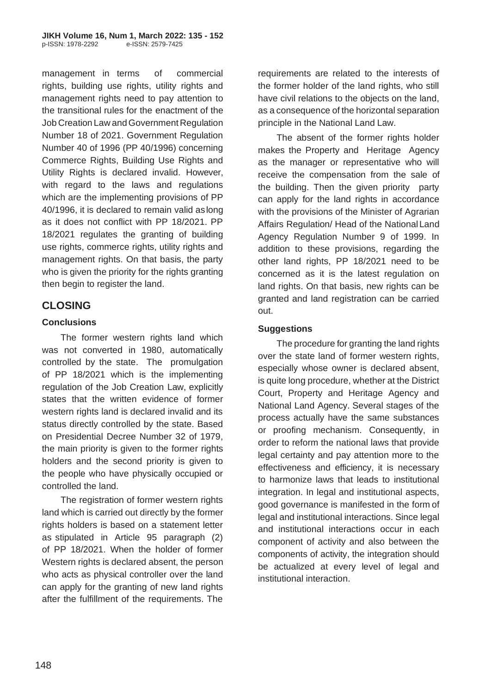management in terms of commercial rights, building use rights, utility rights and management rights need to pay attention to the transitional rules for the enactment of the Job Creation Law andGovernment Regulation Number 18 of 2021. Government Regulation Number 40 of 1996 (PP 40/1996) concerning Commerce Rights, Building Use Rights and Utility Rights is declared invalid. However, with regard to the laws and regulations which are the implementing provisions of PP 40/1996, it is declared to remain valid aslong as it does not conflict with PP 18/2021. PP 18/2021 regulates the granting of building use rights, commerce rights, utility rights and management rights. On that basis, the party who is given the priority for the rights granting then begin to register the land.

# **CLOSING**

#### **Conclusions**

The former western rights land which was not converted in 1980, automatically controlled by the state. The promulgation of PP 18/2021 which is the implementing regulation of the Job Creation Law, explicitly states that the written evidence of former western rights land is declared invalid and its status directly controlled by the state. Based on Presidential Decree Number 32 of 1979, the main priority is given to the former rights holders and the second priority is given to the people who have physically occupied or controlled the land.

The registration of former western rights land which is carried out directly by the former rights holders is based on a statement letter as stipulated in Article 95 paragraph (2) of PP 18/2021. When the holder of former Western rights is declared absent, the person who acts as physical controller over the land can apply for the granting of new land rights after the fulfillment of the requirements. The

requirements are related to the interests of the former holder of the land rights, who still have civil relations to the objects on the land, as a consequence of the horizontal separation principle in the National Land Law.

The absent of the former rights holder makes the Property and Heritage Agency as the manager or representative who will receive the compensation from the sale of the building. Then the given priority party can apply for the land rights in accordance with the provisions of the Minister of Agrarian Affairs Regulation/ Head of the NationalLand Agency Regulation Number 9 of 1999. In addition to these provisions, regarding the other land rights, PP 18/2021 need to be concerned as it is the latest regulation on land rights. On that basis, new rights can be granted and land registration can be carried out.

#### **Suggestions**

The procedure for granting the land rights over the state land of former western rights, especially whose owner is declared absent, is quite long procedure, whether at the District Court, Property and Heritage Agency and National Land Agency. Several stages of the process actually have the same substances or proofing mechanism. Consequently, in order to reform the national laws that provide legal certainty and pay attention more to the effectiveness and efficiency, it is necessary to harmonize laws that leads to institutional integration. In legal and institutional aspects, good governance is manifested in the form of legal and institutional interactions. Since legal and institutional interactions occur in each component of activity and also between the components of activity, the integration should be actualized at every level of legal and institutional interaction.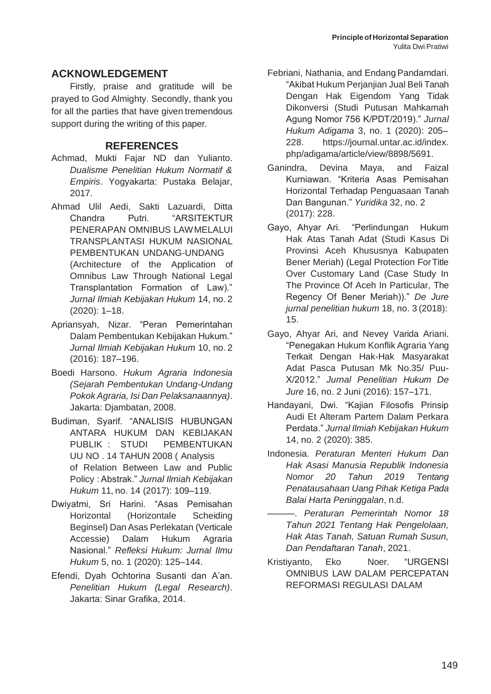## **ACKNOWLEDGEMENT**

Firstly, praise and gratitude will be prayed to God Almighty. Secondly, thank you for all the parties that have given tremendous support during the writing of this paper.

### **REFERENCES**

- Achmad, Mukti Fajar ND dan Yulianto. *Dualisme Penelitian Hukum Normatif & Empiris*. Yogyakarta: Pustaka Belajar, 2017.
- Ahmad Ulil Aedi, Sakti Lazuardi, Ditta Chandra Putri. "ARSITEKTUR PENERAPAN OMNIBUS LAWMELALUI TRANSPLANTASI HUKUM NASIONAL PEMBENTUKAN UNDANG-UNDANG (Architecture of the Application of Omnibus Law Through National Legal Transplantation Formation of Law)." *Jurnal Ilmiah Kebijakan Hukum* 14, no. 2 (2020): 1–18.
- Apriansyah, Nizar. "Peran Pemerintahan Dalam Pembentukan Kebijakan Hukum." *Jurnal Ilmiah Kebijakan Hukum* 10, no. 2 (2016): 187–196.
- Boedi Harsono. *Hukum Agraria Indonesia (Sejarah Pembentukan Undang-Undang Pokok Agraria, Isi Dan Pelaksanaannya)*. Jakarta: Djambatan, 2008.
- Budiman, Syarif. "ANALISIS HUBUNGAN ANTARA HUKUM DAN KEBIJAKAN PUBLIK : STUDI PEMBENTUKAN UU NO . 14 TAHUN 2008 ( Analysis of Relation Between Law and Public Policy : Abstrak." *Jurnal Ilmiah Kebijakan Hukum* 11, no. 14 (2017): 109–119.
- Dwiyatmi, Sri Harini. "Asas Pemisahan Horizontal (Horizontale Scheiding Beginsel) Dan Asas Perlekatan (Verticale Accessie) Dalam Hukum Agraria Nasional." *Refleksi Hukum: Jurnal Ilmu Hukum* 5, no. 1 (2020): 125–144.
- Efendi, Dyah Ochtorina Susanti dan A'an. *Penelitian Hukum (Legal Research)*. Jakarta: Sinar Grafika, 2014.
- Febriani, Nathania, and Endang Pandamdari. "Akibat Hukum Perjanjian Jual Beli Tanah Dengan Hak Eigendom Yang Tidak Dikonversi (Studi Putusan Mahkamah Agung Nomor 756 K/PDT/2019)." *Jurnal Hukum Adigama* 3, no. 1 (2020): 205– 228. https://journal.untar.ac.id/index. php/adigama/article/view/8898/5691.
- Ganindra, Devina Maya, and Faizal Kurniawan. "Kriteria Asas Pemisahan Horizontal Terhadap Penguasaan Tanah Dan Bangunan." *Yuridika* 32, no. 2 (2017): 228.
- Gayo, Ahyar Ari. "Perlindungan Hukum Hak Atas Tanah Adat (Studi Kasus Di Provinsi Aceh Khususnya Kabupaten Bener Meriah) (Legal Protection ForTitle Over Customary Land (Case Study In The Province Of Aceh In Particular, The Regency Of Bener Meriah))." *De Jure jurnal penelitian hukum* 18, no. 3 (2018): 15.
- Gayo, Ahyar Ari, and Nevey Varida Ariani. "Penegakan Hukum Konflik Agraria Yang Terkait Dengan Hak-Hak Masyarakat Adat Pasca Putusan Mk No.35/ Puu-X/2012." *Jurnal Penelitian Hukum De Jure* 16, no. 2 Juni (2016): 157–171.
- Handayani, Dwi. "Kajian Filosofis Prinsip Audi Et Alteram Partem Dalam Perkara Perdata." *Jurnal Ilmiah Kebijakan Hukum*  14, no. 2 (2020): 385.
- Indonesia. *Peraturan Menteri Hukum Dan Hak Asasi Manusia Republik Indonesia Nomor 20 Tahun 2019 Tentang Penatausahaan Uang Pihak Ketiga Pada Balai Harta Peninggalan*, n.d.
- ———. *Peraturan Pemerintah Nomor 18 Tahun 2021 Tentang Hak Pengelolaan, Hak Atas Tanah, Satuan Rumah Susun, Dan Pendaftaran Tanah*, 2021.
- Kristiyanto, Eko Noer. "URGENSI OMNIBUS LAW DALAM PERCEPATAN REFORMASI REGULASI DALAM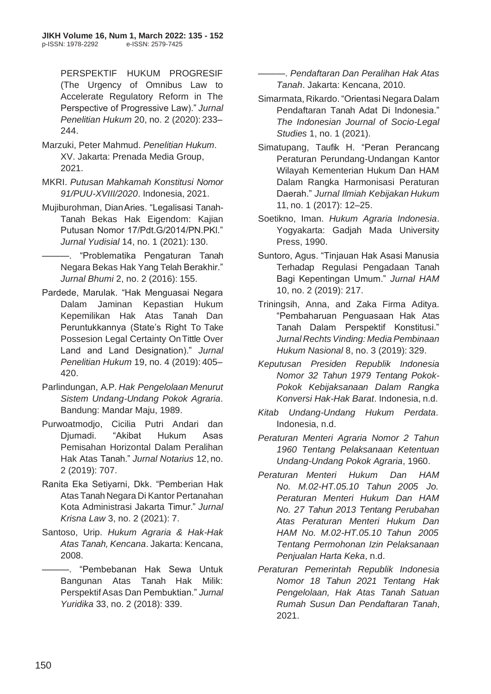PERSPEKTIF HUKUM PROGRESIF (The Urgency of Omnibus Law to Accelerate Regulatory Reform in The Perspective of Progressive Law)." *Jurnal Penelitian Hukum* 20, no. 2 (2020): 233– 244.

- Marzuki, Peter Mahmud. *Penelitian Hukum*. XV. Jakarta: Prenada Media Group, 2021.
- MKRI. *Putusan Mahkamah Konstitusi Nomor 91/PUU-XVIII/2020*. Indonesia, 2021.
- Mujiburohman, DianAries. "Legalisasi Tanah-Tanah Bekas Hak Eigendom: Kajian Putusan Nomor 17/Pdt.G/2014/PN.PKl." *Jurnal Yudisial* 14, no. 1 (2021): 130.

———. "Problematika Pengaturan Tanah Negara Bekas Hak Yang Telah Berakhir." *Jurnal Bhumi* 2, no. 2 (2016): 155.

- Pardede, Marulak. "Hak Menguasai Negara Dalam Jaminan Kepastian Hukum Kepemilikan Hak Atas Tanah Dan Peruntukkannya (State's Right To Take Possesion Legal Certainty OnTittle Over Land and Land Designation)." *Jurnal Penelitian Hukum* 19, no. 4 (2019): 405– 420.
- Parlindungan, A.P. *Hak Pengelolaan Menurut Sistem Undang-Undang Pokok Agraria*. Bandung: Mandar Maju, 1989.
- Purwoatmodjo, Cicilia Putri Andari dan Djumadi. "Akibat Hukum Asas Pemisahan Horizontal Dalam Peralihan Hak Atas Tanah." *Jurnal Notarius* 12, no. 2 (2019): 707.
- Ranita Eka Setiyarni, Dkk. "Pemberian Hak Atas Tanah Negara Di Kantor Pertanahan Kota Administrasi Jakarta Timur." *Jurnal Krisna Law* 3, no. 2 (2021): 7.
- Santoso, Urip. *Hukum Agraria & Hak-Hak Atas Tanah, Kencana*. Jakarta: Kencana, 2008.
	- ———. "Pembebanan Hak Sewa Untuk Bangunan Atas Tanah Hak Milik: PerspektifAsas Dan Pembuktian." *Jurnal Yuridika* 33, no. 2 (2018): 339.

———. *Pendaftaran Dan Peralihan Hak Atas Tanah*. Jakarta: Kencana, 2010.

- Simarmata, Rikardo."Orientasi Negara Dalam Pendaftaran Tanah Adat Di Indonesia." *The Indonesian Journal of Socio-Legal Studies* 1, no. 1 (2021).
- Simatupang, Taufik H. "Peran Perancang Peraturan Perundang-Undangan Kantor Wilayah Kementerian Hukum Dan HAM Dalam Rangka Harmonisasi Peraturan Daerah." *Jurnal Ilmiah Kebijakan Hukum*  11, no. 1 (2017): 12–25.
- Soetikno, Iman. *Hukum Agraria Indonesia*. Yogyakarta: Gadjah Mada University Press, 1990.
- Suntoro, Agus. "Tinjauan Hak Asasi Manusia Terhadap Regulasi Pengadaan Tanah Bagi Kepentingan Umum." *Jurnal HAM*  10, no. 2 (2019): 217.
- Triningsih, Anna, and Zaka Firma Aditya. "Pembaharuan Penguasaan Hak Atas Tanah Dalam Perspektif Konstitusi." *Jurnal Rechts Vinding: Media Pembinaan Hukum Nasional* 8, no. 3 (2019): 329.
- *Keputusan Presiden Republik Indonesia Nomor 32 Tahun 1979 Tentang Pokok-Pokok Kebijaksanaan Dalam Rangka Konversi Hak-Hak Barat*. Indonesia, n.d.
- *Kitab Undang-Undang Hukum Perdata*. Indonesia, n.d.
- *Peraturan Menteri Agraria Nomor 2 Tahun 1960 Tentang Pelaksanaan Ketentuan Undang-Undang Pokok Agraria*, 1960.
- *Peraturan Menteri Hukum Dan HAM No. M.02-HT.05.10 Tahun 2005 Jo. Peraturan Menteri Hukum Dan HAM No. 27 Tahun 2013 Tentang Perubahan Atas Peraturan Menteri Hukum Dan HAM No. M.02-HT.05.10 Tahun 2005 Tentang Permohonan Izin Pelaksanaan Penjualan Harta Keka*, n.d.
- *Peraturan Pemerintah Republik Indonesia Nomor 18 Tahun 2021 Tentang Hak Pengelolaan, Hak Atas Tanah Satuan Rumah Susun Dan Pendaftaran Tanah*, 2021.